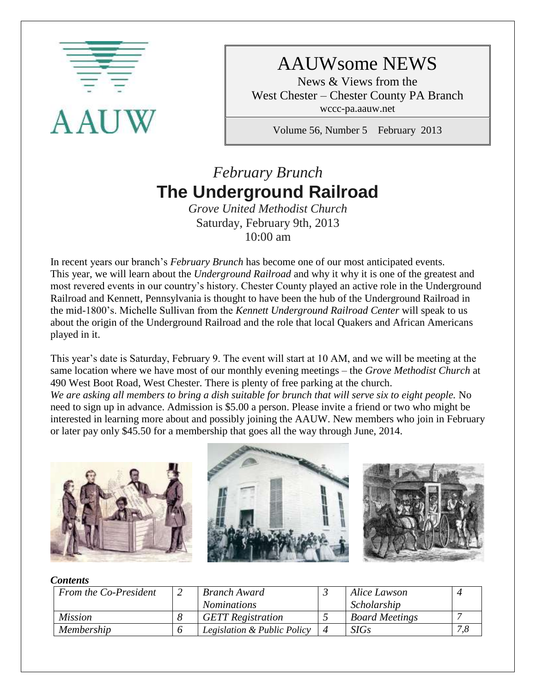

# AAUWsome NEWS

News & Views from the West Chester – Chester County PA Branch wccc-pa.aauw.net

Volume 56, Number 5 February 2013

# *February Brunch* **The Underground Railroad**

*Grove United Methodist Church* Saturday, February 9th, 2013 10:00 am

In recent years our branch's *February Brunch* has become one of our most anticipated events. This year, we will learn about the *Underground Railroad* and why it why it is one of the greatest and most revered events in our country's history. Chester County played an active role in the Underground Railroad and Kennett, Pennsylvania is thought to have been the hub of the Underground Railroad in the mid-1800's. Michelle Sullivan from the *Kennett Underground Railroad Center* will speak to us about the origin of the Underground Railroad and the role that local Quakers and African Americans played in it.

This year's date is Saturday, February 9. The event will start at 10 AM, and we will be meeting at the same location where we have most of our monthly evening meetings – the *Grove Methodist Church* at 490 West Boot Road, West Chester. There is plenty of free parking at the church. *We are asking all members to bring a dish suitable for brunch that will serve six to eight people.* No need to sign up in advance. Admission is \$5.00 a person. Please invite a friend or two who might be

interested in learning more about and possibly joining the AAUW. New members who join in February or later pay only \$45.50 for a membership that goes all the way through June, 2014.



#### *Contents*

| From the Co-President | <b>Branch Award</b>         | Alice Lawson          |     |
|-----------------------|-----------------------------|-----------------------|-----|
|                       | <i>Nominations</i>          | Scholarship           |     |
| <i>Mission</i>        | <b>GETT</b> Registration    | <b>Board Meetings</b> |     |
| Membership            | Legislation & Public Policy | <b>SIGs</b>           | 7,8 |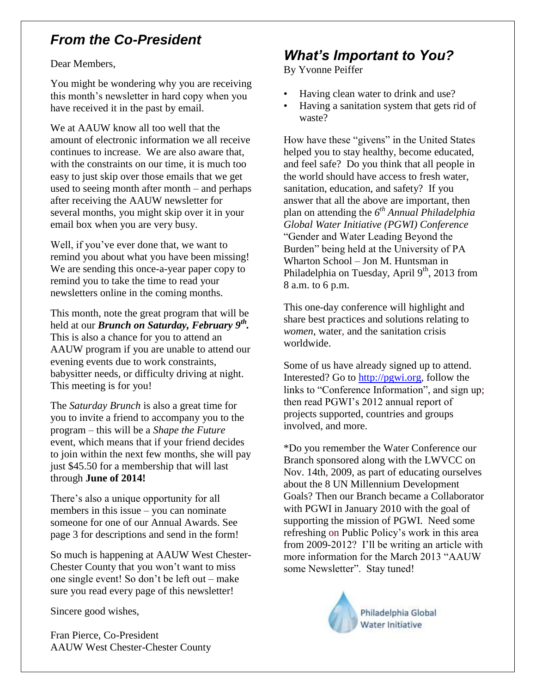## *From the Co-President*

Dear Members,

You might be wondering why you are receiving this month's newsletter in hard copy when you have received it in the past by email.

We at AAUW know all too well that the amount of electronic information we all receive continues to increase. We are also aware that, with the constraints on our time, it is much too easy to just skip over those emails that we get used to seeing month after month – and perhaps after receiving the AAUW newsletter for several months, you might skip over it in your email box when you are very busy.

Well, if you've ever done that, we want to remind you about what you have been missing! We are sending this once-a-year paper copy to remind you to take the time to read your newsletters online in the coming months.

This month, note the great program that will be held at our *Brunch on Saturday, February 9th .*  This is also a chance for you to attend an AAUW program if you are unable to attend our evening events due to work constraints, babysitter needs, or difficulty driving at night. This meeting is for you!

The *Saturday Brunch* is also a great time for you to invite a friend to accompany you to the program – this will be a *Shape the Future*  event, which means that if your friend decides to join within the next few months, she will pay just \$45.50 for a membership that will last through **June of 2014!**

There's also a unique opportunity for all members in this issue – you can nominate someone for one of our Annual Awards. See page 3 for descriptions and send in the form!

So much is happening at AAUW West Chester-Chester County that you won't want to miss one single event! So don't be left out – make sure you read every page of this newsletter!

Sincere good wishes,

Fran Pierce, Co-President AAUW West Chester-Chester County

## *What's Important to You?*

By Yvonne Peiffer

- Having clean water to drink and use?
- Having a sanitation system that gets rid of waste?

How have these "givens" in the United States helped you to stay healthy, become educated, and feel safe? Do you think that all people in the world should have access to fresh water, sanitation, education, and safety? If you answer that all the above are important, then plan on attending the *6 th Annual Philadelphia Global Water Initiative (PGWI) Conference* "Gender and Water Leading Beyond the Burden" being held at the University of PA Wharton School – Jon M. Huntsman in Philadelphia on Tuesday, April 9<sup>th</sup>, 2013 from 8 a.m. to 6 p.m.

This one-day conference will highlight and share best practices and solutions relating to *women*, water, and the sanitation crisis worldwide.

Some of us have already signed up to attend. Interested? Go to [http://pgwi.org,](http://pgwi.org/) follow the links to "Conference Information", and sign up; then read PGWI's 2012 annual report of projects supported, countries and groups involved, and more.

\*Do you remember the Water Conference our Branch sponsored along with the LWVCC on Nov. 14th, 2009, as part of educating ourselves about the 8 UN Millennium Development Goals? Then our Branch became a Collaborator with PGWI in January 2010 with the goal of supporting the mission of PGWI. Need some refreshing on Public Policy's work in this area from 2009-2012? I'll be writing an article with more information for the March 2013 "AAUW some Newsletter". Stay tuned!

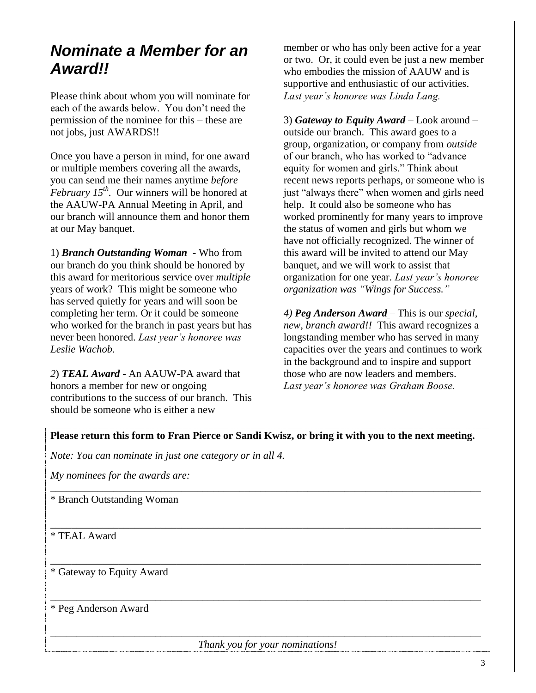## *Nominate a Member for an Award!!*

Please think about whom you will nominate for each of the awards below. You don't need the permission of the nominee for this – these are not jobs, just AWARDS!!

Once you have a person in mind, for one award or multiple members covering all the awards, you can send me their names anytime *before February 15th .* Our winners will be honored at the AAUW-PA Annual Meeting in April, and our branch will announce them and honor them at our May banquet.

1) *Branch Outstanding Woman* - Who from our branch do you think should be honored by this award for meritorious service over *multiple*  years of work? This might be someone who has served quietly for years and will soon be completing her term. Or it could be someone who worked for the branch in past years but has never been honored. *Last year's honoree was Leslie Wachob.*

*2*) *TEAL Award -* An AAUW-PA award that honors a member for new or ongoing contributions to the success of our branch. This should be someone who is either a new

member or who has only been active for a year or two. Or, it could even be just a new member who embodies the mission of AAUW and is supportive and enthusiastic of our activities. *Last year's honoree was Linda Lang.*

3) *Gateway to Equity Award* – Look around – outside our branch. This award goes to a group, organization, or company from *outside* of our branch, who has worked to "advance equity for women and girls." Think about recent news reports perhaps, or someone who is just "always there" when women and girls need help. It could also be someone who has worked prominently for many years to improve the status of women and girls but whom we have not officially recognized. The winner of this award will be invited to attend our May banquet, and we will work to assist that organization for one year. *Last year's honoree organization was "Wings for Success."*

*4) Peg Anderson Award* – This is our *special, new, branch award!!* This award recognizes a longstanding member who has served in many capacities over the years and continues to work in the background and to inspire and support those who are now leaders and members. *Last year's honoree was Graham Boose.*

**Please return this form to Fran Pierce or Sandi Kwisz, or bring it with you to the next meeting.**

\_\_\_\_\_\_\_\_\_\_\_\_\_\_\_\_\_\_\_\_\_\_\_\_\_\_\_\_\_\_\_\_\_\_\_\_\_\_\_\_\_\_\_\_\_\_\_\_\_\_\_\_\_\_\_\_\_\_\_\_\_\_\_\_\_\_\_\_\_\_\_\_\_\_\_\_\_\_\_\_\_\_

\_\_\_\_\_\_\_\_\_\_\_\_\_\_\_\_\_\_\_\_\_\_\_\_\_\_\_\_\_\_\_\_\_\_\_\_\_\_\_\_\_\_\_\_\_\_\_\_\_\_\_\_\_\_\_\_\_\_\_\_\_\_\_\_\_\_\_\_\_\_\_\_\_\_\_\_\_\_\_\_\_\_

\_\_\_\_\_\_\_\_\_\_\_\_\_\_\_\_\_\_\_\_\_\_\_\_\_\_\_\_\_\_\_\_\_\_\_\_\_\_\_\_\_\_\_\_\_\_\_\_\_\_\_\_\_\_\_\_\_\_\_\_\_\_\_\_\_\_\_\_\_\_\_\_\_\_\_\_\_\_\_\_\_\_

\_\_\_\_\_\_\_\_\_\_\_\_\_\_\_\_\_\_\_\_\_\_\_\_\_\_\_\_\_\_\_\_\_\_\_\_\_\_\_\_\_\_\_\_\_\_\_\_\_\_\_\_\_\_\_\_\_\_\_\_\_\_\_\_\_\_\_\_\_\_\_\_\_\_\_\_\_\_\_\_\_\_

*Note: You can nominate in just one category or in all 4.* 

*My nominees for the awards are:*

\* Branch Outstanding Woman

\* TEAL Award

\* Gateway to Equity Award

\* Peg Anderson Award

\_\_\_\_\_\_\_\_\_\_\_\_\_\_\_\_\_\_\_\_\_\_\_\_\_\_\_\_\_\_\_\_\_\_\_\_\_\_\_\_\_\_\_\_\_\_\_\_\_\_\_\_\_\_\_\_\_\_\_\_\_\_\_\_\_\_\_\_\_\_\_\_\_\_\_\_\_\_\_\_\_\_ *Thank you for your nominations!*

3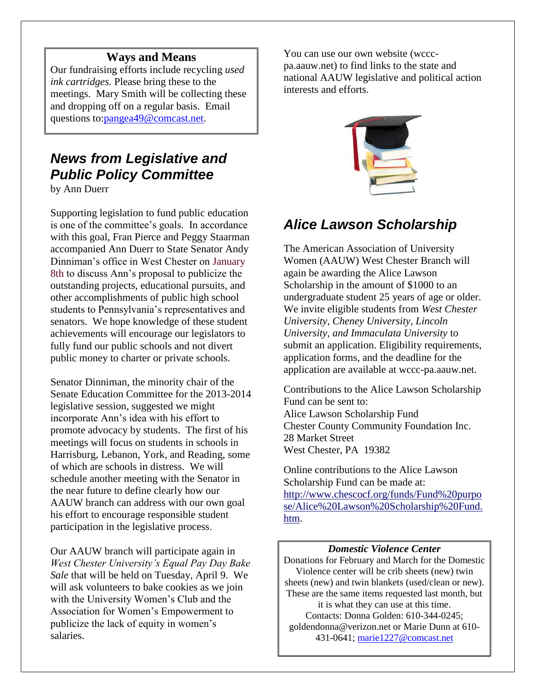### **Ways and Means**

Our fundraising efforts include recycling *used ink cartridges.* Please bring these to the meetings. Mary Smith will be collecting these and dropping off on a regular basis. Email questions to[:pangea49@comcast.net.](mailto:pangea49@comcast.net)

## *News from Legislative and Public Policy Committee*

by Ann Duerr

Supporting legislation to fund public education is one of the committee's goals. In accordance with this goal, Fran Pierce and Peggy Staarman accompanied Ann Duerr to State Senator Andy Dinniman's office in West Chester on January 8th to discuss Ann's proposal to publicize the outstanding projects, educational pursuits, and other accomplishments of public high school students to Pennsylvania's representatives and senators. We hope knowledge of these student achievements will encourage our legislators to fully fund our public schools and not divert public money to charter or private schools.

Senator Dinniman, the minority chair of the Senate Education Committee for the 2013-2014 legislative session, suggested we might incorporate Ann's idea with his effort to promote advocacy by students. The first of his meetings will focus on students in schools in Harrisburg, Lebanon, York, and Reading, some of which are schools in distress. We will schedule another meeting with the Senator in the near future to define clearly how our AAUW branch can address with our own goal his effort to encourage responsible student participation in the legislative process.

Our AAUW branch will participate again in *West Chester University's Equal Pay Day Bake Sale* that will be held on Tuesday, April 9. We will ask volunteers to bake cookies as we join with the University Women's Club and the Association for Women's Empowerment to publicize the lack of equity in women's salaries.

You can use our own website (wcccpa.aauw.net) to find links to the state and national AAUW legislative and political action interests and efforts.



### *Alice Lawson Scholarship*

The American Association of University Women (AAUW) West Chester Branch will again be awarding the Alice Lawson Scholarship in the amount of \$1000 to an undergraduate student 25 years of age or older. We invite eligible students from *West Chester University, Cheney University, Lincoln University, and Immaculata University* to submit an application. Eligibility requirements, application forms, and the deadline for the application are available at wccc-pa.aauw.net.

Contributions to the Alice Lawson Scholarship Fund can be sent to: Alice Lawson Scholarship Fund Chester County Community Foundation Inc. 28 Market Street West Chester, PA 19382

Online contributions to the Alice Lawson Scholarship Fund can be made at: [http://www.chescocf.org/funds/Fund%20purpo](http://www.chescocf.org/funds/Fund%20purpose/Alice%20Lawson%20Scholarship%20Fund.htm) [se/Alice%20Lawson%20Scholarship%20Fund.](http://www.chescocf.org/funds/Fund%20purpose/Alice%20Lawson%20Scholarship%20Fund.htm) [htm.](http://www.chescocf.org/funds/Fund%20purpose/Alice%20Lawson%20Scholarship%20Fund.htm)

#### *Domestic Violence Center*

Donations for February and March for the Domestic Violence center will be crib sheets (new) twin sheets (new) and twin blankets (used/clean or new). These are the same items requested last month, but it is what they can use at this time. Contacts: Donna Golden: 610-344-0245; goldendonna@verizon.net or Marie Dunn at 610- 431-0641; [marie1227@comcast.net](mailto:marie1227@comcast.net)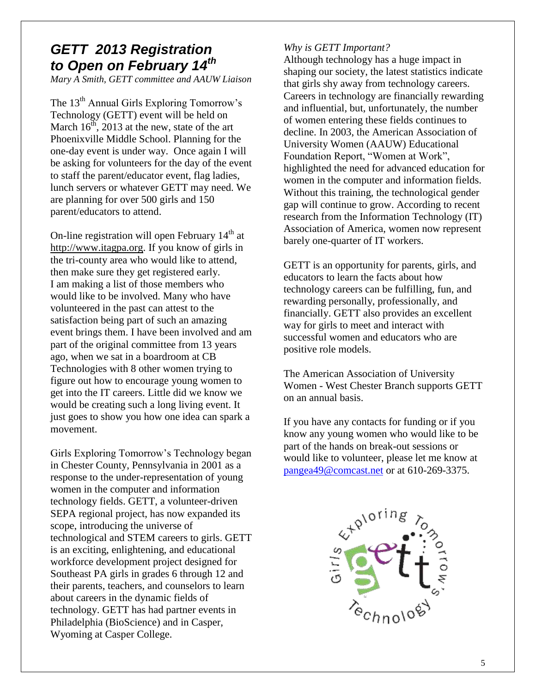## *GETT 2013 Registration to Open on February 14th*

*Mary A Smith, GETT committee and AAUW Liaison*

The 13<sup>th</sup> Annual Girls Exploring Tomorrow's Technology (GETT) event will be held on March  $16^{th}$ , 2013 at the new, state of the art Phoenixville Middle School. Planning for the one-day event is under way. Once again I will be asking for volunteers for the day of the event to staff the parent/educator event, flag ladies, lunch servers or whatever GETT may need. We are planning for over 500 girls and 150 parent/educators to attend.

On-line registration will open February 14<sup>th</sup> at [http://www.itagpa.org.](http://www.itagpa.org/) If you know of girls in the tri-county area who would like to attend, then make sure they get registered early. I am making a list of those members who would like to be involved. Many who have volunteered in the past can attest to the satisfaction being part of such an amazing event brings them. I have been involved and am part of the original committee from 13 years ago, when we sat in a boardroom at CB Technologies with 8 other women trying to figure out how to encourage young women to get into the IT careers. Little did we know we would be creating such a long living event. It just goes to show you how one idea can spark a movement.

Girls Exploring Tomorrow's Technology began in Chester County, Pennsylvania in 2001 as a response to the under-representation of young women in the computer and information technology fields. GETT, a volunteer-driven SEPA regional project, has now expanded its scope, introducing the universe of technological and STEM careers to girls. GETT is an exciting, enlightening, and educational workforce development project designed for Southeast PA girls in grades 6 through 12 and their parents, teachers, and counselors to learn about careers in the dynamic fields of technology. GETT has had partner events in Philadelphia (BioScience) and in Casper, Wyoming at Casper College.

#### *Why is GETT Important?*

Although technology has a huge impact in shaping our society, the latest statistics indicate that girls shy away from technology careers. Careers in technology are financially rewarding and influential, but, unfortunately, the number of women entering these fields continues to decline. In 2003, the American Association of University Women (AAUW) Educational Foundation Report, "Women at Work", highlighted the need for advanced education for women in the computer and information fields. Without this training, the technological gender gap will continue to grow. According to recent research from the Information Technology (IT) Association of America, women now represent barely one-quarter of IT workers.

GETT is an opportunity for parents, girls, and educators to learn the facts about how technology careers can be fulfilling, fun, and rewarding personally, professionally, and financially. GETT also provides an excellent way for girls to meet and interact with successful women and educators who are positive role models.

The American Association of University Women - West Chester Branch supports GETT on an annual basis.

If you have any contacts for funding or if you know any young women who would like to be part of the hands on break-out sessions or would like to volunteer, please let me know at [pangea49@comcast.net](mailto:pangea49@comcast.net) or at 610-269-3375.

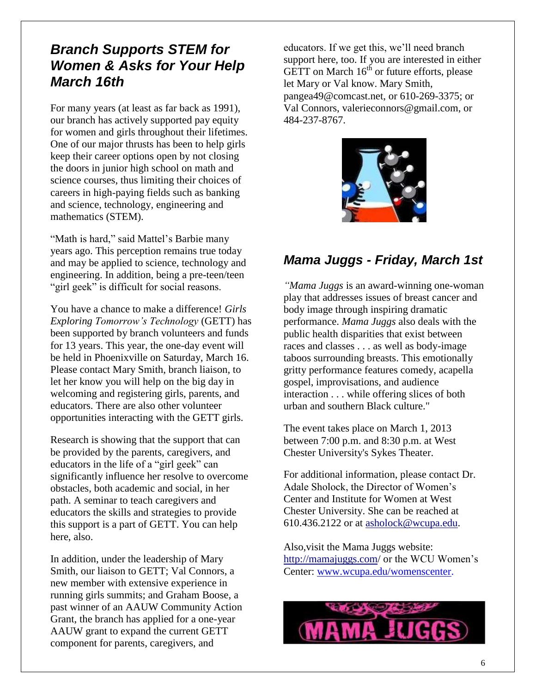### *Branch Supports STEM for Women & Asks for Your Help March 16th*

For many years (at least as far back as 1991), our branch has actively supported pay equity for women and girls throughout their lifetimes. One of our major thrusts has been to help girls keep their career options open by not closing the doors in junior high school on math and science courses, thus limiting their choices of careers in high-paying fields such as banking and science, technology, engineering and mathematics (STEM).

"Math is hard," said Mattel's Barbie many years ago. This perception remains true today and may be applied to science, technology and engineering. In addition, being a pre-teen/teen "girl geek" is difficult for social reasons.

You have a chance to make a difference! *Girls Exploring Tomorrow's Technology* (GETT) has been supported by branch volunteers and funds for 13 years. This year, the one-day event will be held in Phoenixville on Saturday, March 16. Please contact Mary Smith, branch liaison, to let her know you will help on the big day in welcoming and registering girls, parents, and educators. There are also other volunteer opportunities interacting with the GETT girls.

Research is showing that the support that can be provided by the parents, caregivers, and educators in the life of a "girl geek" can significantly influence her resolve to overcome obstacles, both academic and social, in her path. A seminar to teach caregivers and educators the skills and strategies to provide this support is a part of GETT. You can help here, also.

In addition, under the leadership of Mary Smith, our liaison to GETT; Val Connors, a new member with extensive experience in running girls summits; and Graham Boose, a past winner of an AAUW Community Action Grant, the branch has applied for a one-year AAUW grant to expand the current GETT component for parents, caregivers, and

educators. If we get this, we'll need branch support here, too. If you are interested in either GETT on March  $16<sup>th</sup>$  or future efforts, please let Mary or Val know. Mary Smith, pangea49@comcast.net, or 610-269-3375; or Val Connors, valerieconnors@gmail.com, or 484-237-8767.



### *Mama Juggs - Friday, March 1st*

*"Mama Juggs* is an award-winning one-woman play that addresses issues of breast cancer and body image through inspiring dramatic performance. *Mama Juggs* also deals with the public health disparities that exist between races and classes . . . as well as body-image taboos surrounding breasts. This emotionally gritty performance features comedy, acapella gospel, improvisations, and audience interaction . . . while offering slices of both urban and southern Black culture."

The event takes place on March 1, 2013 between 7:00 p.m. and 8:30 p.m. at West Chester University's Sykes Theater.

For additional information, please contact Dr. Adale Sholock, the Director of Women's Center and Institute for Women at West Chester University. She can be reached at 610.436.2122 or at [asholock@wcupa.edu.](mailto:asholock@wcupa.edu)

Also,visit the Mama Juggs website: <http://mamajuggs.com/> or the WCU Women's Center: [www.wcupa.edu/womenscenter.](http://www.wcupa.edu/womenscenter)

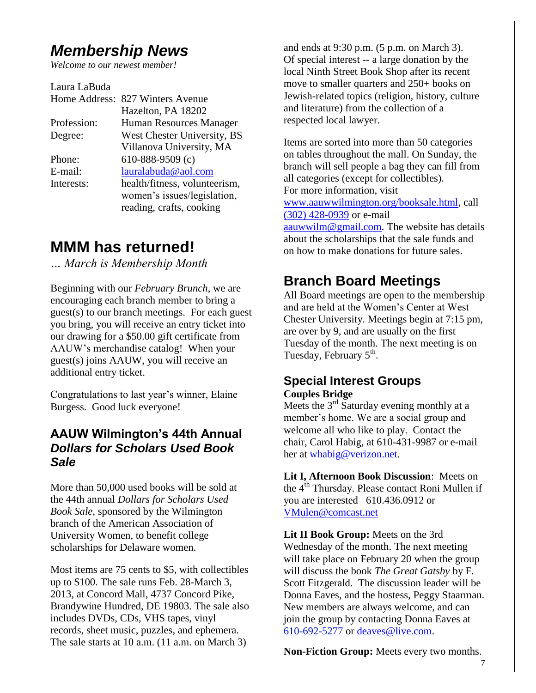## *Membership News*

*Welcome to our newest member!* 

Laura LaBuda Home Address: 827 Winters Avenue Hazelton, PA 18202 Profession: Human Resources Manager Degree: West Chester University, BS Villanova University, MA Phone: 610-888-9509 (c) E-mail: [lauralabuda@aol.com](mailto:lauralabuda@aol.com) Interests: health/fitness, volunteerism, women's issues/legislation, reading, crafts, cooking

## **MMM has returned!**

*… March is Membership Month*

Beginning with our *February Brunch*, we are encouraging each branch member to bring a guest(s) to our branch meetings. For each guest you bring, you will receive an entry ticket into our drawing for a \$50.00 gift certificate from AAUW's merchandise catalog! When your guest(s) joins AAUW, you will receive an additional entry ticket.

Congratulations to last year's winner, Elaine Burgess. Good luck everyone!

### **AAUW Wilmington's 44th Annual**  *Dollars for Scholars Used Book Sale*

More than 50,000 used books will be sold at the 44th annual *Dollars for Scholars Used Book Sale*, sponsored by the Wilmington branch of the American Association of University Women, to benefit college scholarships for Delaware women.

Most items are 75 cents to \$5, with collectibles up to \$100. The sale runs Feb. 28-March 3, 2013, at Concord Mall, 4737 Concord Pike, Brandywine Hundred, DE 19803. The sale also includes DVDs, CDs, VHS tapes, vinyl records, sheet music, puzzles, and ephemera. The sale starts at 10 a.m. (11 a.m. on March 3)

and ends at 9:30 p.m. (5 p.m. on March 3). Of special interest -- a large donation by the local Ninth Street Book Shop after its recent move to smaller quarters and 250+ books on Jewish-related topics (religion, history, culture and literature) from the collection of a respected local lawyer.

Items are sorted into more than 50 categories on tables throughout the mall. On Sunday, the branch will sell people a bag they can fill from all categories (except for collectibles). For more information, visit [www.aauwwilmington.org/booksale.html,](http://www.aauwwilmington.org/booksale.html) call [\(302\) 428-0939](tel:%28302%29%20428-0939) or e-mail [aauwwilm@gmail.com.](mailto:aauwwilm@gmail.com) The website has details about the scholarships that the sale funds and on how to make donations for future sales.

## **Branch Board Meetings**

All Board meetings are open to the membership and are held at the Women's Center at West Chester University. Meetings begin at 7:15 pm, are over by 9, and are usually on the first Tuesday of the month. The next meeting is on Tuesday, February 5<sup>th</sup>.

### **Special Interest Groups Couples Bridge**

Meets the  $3<sup>rd</sup>$  Saturday evening monthly at a member's home. We are a social group and welcome all who like to play. Contact the chair, Carol Habig, at 610-431-9987 or e-mail her at [whabig@verizon.net.](mailto:whabig@verizon.net)

**Lit I, Afternoon Book Discussion**: Meets on the 4<sup>th</sup> Thursday. Please contact Roni Mullen if you are interested –610.436.0912 or [VMulen@comcast.net](mailto:VMulen@comcast.net)

**Lit II Book Group:** Meets on the 3rd Wednesday of the month. The next meeting will take place on February 20 when the group will discuss the book *The Great Gatsby* by F. Scott Fitzgerald. The discussion leader will be Donna Eaves, and the hostess, Peggy Staarman. New members are always welcome, and can join the group by contacting Donna Eaves at [610-692-5277](tel:/610-692-5277) or [deaves@live.com.](mailto:deaves@live.com)

**Non-Fiction Group:** Meets every two months.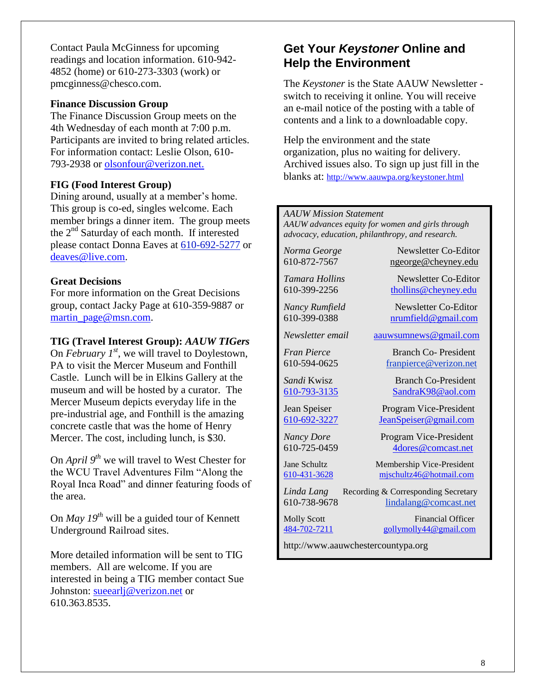Contact Paula McGinness for upcoming readings and location information. 610-942- 4852 (home) or 610-273-3303 (work) or pmcginness@chesco.com.

#### **Finance Discussion Group**

The Finance Discussion Group meets on the 4th Wednesday of each month at 7:00 p.m. Participants are invited to bring related articles. For information contact: Leslie Olson, 610- 793-2938 or olsonfour@verizon.net.

#### **FIG (Food Interest Group)**

Dining around, usually at a member's home. This group is co-ed, singles welcome. Each member brings a dinner item. The group meets the 2<sup>nd</sup> Saturday of each month. If interested please contact Donna Eaves at [610-692-5277](tel:/610-692-5277) or [deaves@live.com.](mailto:deaves@live.com)

#### **Great Decisions**

For more information on the Great Decisions group, contact Jacky Page at 610-359-9887 or [martin\\_page@msn.com.](mailto:martin_page@msn.com)

#### **TIG (Travel Interest Group):** *AAUW TIGers*

On *February 1st*, we will travel to Doylestown, PA to visit the Mercer Museum and Fonthill Castle. Lunch will be in Elkins Gallery at the museum and will be hosted by a curator. The Mercer Museum depicts everyday life in the pre-industrial age, and Fonthill is the amazing concrete castle that was the home of Henry Mercer. The cost, including lunch, is \$30.

On *April 9th* we will travel to West Chester for the WCU Travel Adventures Film "Along the Royal Inca Road" and dinner featuring foods of the area.

On *May 19th* will be a guided tour of Kennett Underground Railroad sites.

More detailed information will be sent to TIG members. All are welcome. If you are interested in being a TIG member contact Sue Johnston: [sueearlj@verizon.net](mailto:sueearlj@verizon.net) or 610.363.8535.

### **Get Your** *Keystoner* **Online and Help the Environment**

The *Keystoner* is the State AAUW Newsletter  switch to receiving it online*.* You will receive an e-mail notice of the posting with a table of contents and a link to a downloadable copy.

Help the environment and the state organization, plus no waiting for delivery. Archived issues also. To sign up just fill in the blanks at: <http://www.aauwpa.org/keystoner.html>

#### *AAUW Mission Statement*

*AAUW advances equity for women and girls through advocacy, education, philanthropy, and research.*

*Norma George* Newsletter Co-Editor 610-872-7567 [ngeorge@cheyney.edu](mailto:ngeorge@cheyney.ecu)

*Tamara Hollins* Newsletter Co-Editor 610-399-2256 [thollins@cheyney.edu](mailto:thollins@cheyney.edu)

*Nancy Rumfield* Newsletter Co-Editor 610-399-0388 [nrumfield@gmail.com](mailto:nrumfield@gmail.com)

*Newsletter email* [aauwsumnews@gmail.com](mailto:aauwsumnews@gmail.com)

*Fran Pierce* Branch Co- President 610-594-0625 [franpierce@verizon.net](mailto:franpierce@verizon.net)

*Sandi* Kwisz Branch Co-President [610-793-3135](tel:/610-793-3135) [SandraK98@aol.com](mailto:SandraK98@aol.com)

Jean Speiser Program Vice-President [610-692-3227](tel:/610-692-3227) [JeanSpeiser@gmail.com](mailto:JeanSpeiser@gmail.com)

*Nancy Dore* Program Vice-President 610-725-0459 [4dores@comcast.net](mailto:4dores@comcast.net)

Jane Schultz Membership Vice-President [610-431-3628](tel:/610-431-3628) [mjschultz46@hotmail.com](mailto:mjschultz46@hotmail.com)

*Linda Lang* Recording & Corresponding Secretary<br>610-738-9678 lindalang@comcast.net lindalang@comcast.net

Molly Scott Financial Officer [484-702-7211](tel:/484-702-7211) [gollymolly44@gmail.com](mailto:gollymolly44@gmail.com)

http://www.aauwchestercountypa.org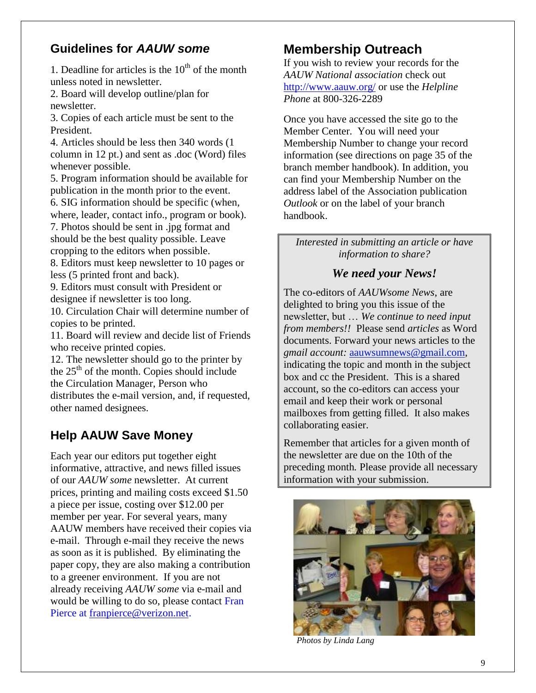### **Guidelines for** *AAUW some*

1. Deadline for articles is the  $10<sup>th</sup>$  of the month unless noted in newsletter.

2. Board will develop outline/plan for newsletter.

3. Copies of each article must be sent to the President.

4. Articles should be less then 340 words (1 column in 12 pt.) and sent as .doc (Word) files whenever possible.

5. Program information should be available for publication in the month prior to the event.

6. SIG information should be specific (when, where, leader, contact info., program or book).

7. Photos should be sent in .jpg format and should be the best quality possible. Leave cropping to the editors when possible.

8. Editors must keep newsletter to 10 pages or less (5 printed front and back).

9. Editors must consult with President or designee if newsletter is too long.

10. Circulation Chair will determine number of copies to be printed.

11. Board will review and decide list of Friends who receive printed copies.

12. The newsletter should go to the printer by the  $25<sup>th</sup>$  of the month. Copies should include the Circulation Manager, Person who distributes the e-mail version, and, if requested, other named designees.

## **Help AAUW Save Money**

Each year our editors put together eight informative, attractive, and news filled issues of our *AAUW some* newsletter. At current prices, printing and mailing costs exceed \$1.50 a piece per issue, costing over \$12.00 per member per year. For several years, many AAUW members have received their copies via e-mail. Through e-mail they receive the news as soon as it is published. By eliminating the paper copy, they are also making a contribution to a greener environment. If you are not already receiving *AAUW some* via e-mail and would be willing to do so, please contact Fran Pierce at [franpierce@verizon.net.](mailto:franpierce@verizon.net)

## **Membership Outreach**

If you wish to review your records for the *AAUW National association* check out <http://www.aauw.org/> or use the *Helpline Phone* at 800-326-2289

Once you have accessed the site go to the Member Center. You will need your Membership Number to change your record information (see directions on page 35 of the branch member handbook). In addition, you can find your Membership Number on the address label of the Association publication *Outlook* or on the label of your branch handbook.

### *Interested in submitting an article or have information to share?*

### *We need your News!*

The co-editors of *AAUWsome News*, are delighted to bring you this issue of the newsletter, but … *We continue to need input from members!!* Please send *articles* as Word documents. Forward your news articles to the *gmail account:* [aauwsumnews@gmail.com,](mailto:aauwsum@gmail.com) indicating the topic and month in the subject box and cc the President. This is a shared account, so the co-editors can access your email and keep their work or personal mailboxes from getting filled. It also makes collaborating easier.

Remember that articles for a given month of the newsletter are due on the 10th of the preceding month*.* Please provide all necessary information with your submission.



*Photos by Linda Lang*